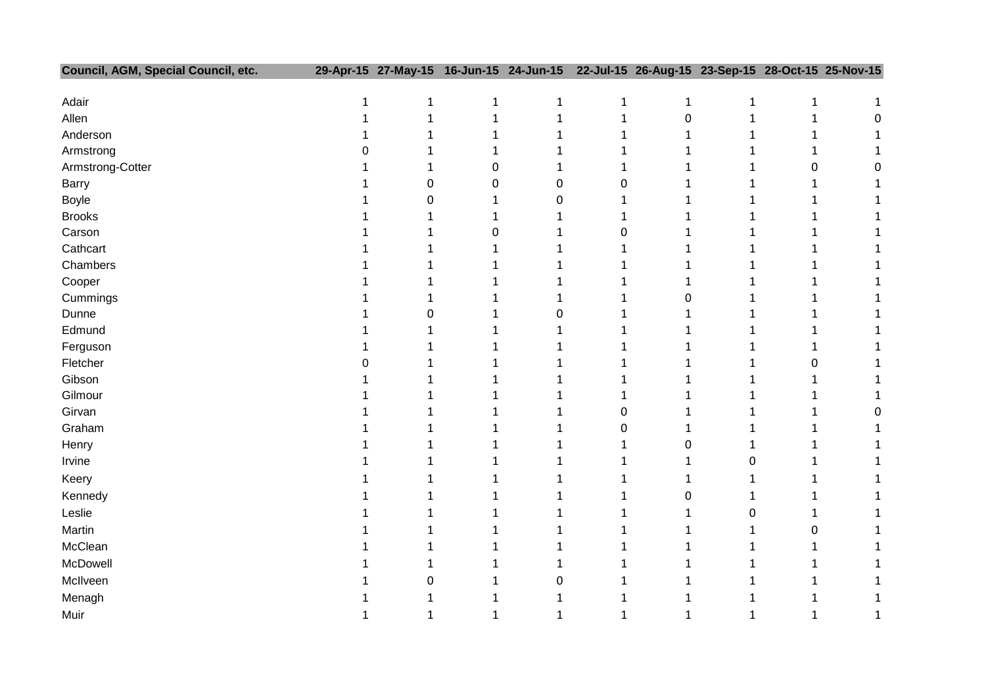| Council, AGM, Special Council, etc. |              | 29-Apr-15 27-May-15 16-Jun-15 24-Jun-15 |              |              |              | 22-Jul-15 26-Aug-15 23-Sep-15 28-Oct-15 25-Nov-15 |              |              |              |
|-------------------------------------|--------------|-----------------------------------------|--------------|--------------|--------------|---------------------------------------------------|--------------|--------------|--------------|
|                                     |              |                                         |              |              |              |                                                   |              |              |              |
| Adair                               | $\mathbf{1}$ | $\mathbf{1}$                            | $\mathbf{1}$ | $\mathbf{1}$ | $\mathbf{1}$ | $\mathbf{1}$                                      | $\mathbf 1$  | $\mathbf{1}$ | $\mathbf{1}$ |
| Allen                               | 1            | $\mathbf{1}$                            | $\mathbf{1}$ | $\mathbf{1}$ | $\mathbf{1}$ | $\pmb{0}$                                         | $\mathbf{1}$ | $\mathbf{1}$ | 0            |
| Anderson                            |              | 1                                       | $\mathbf{1}$ | $\mathbf{1}$ | 1            | 1                                                 | 1            | 1            | 1            |
| Armstrong                           | 0            | 1                                       | $\mathbf{1}$ | $\mathbf{1}$ | $\mathbf{1}$ | 1                                                 | 1            | 1            | 1            |
| Armstrong-Cotter                    |              | $\mathbf{1}$                            | 0            | $\mathbf{1}$ | $\mathbf{1}$ | 1                                                 | 1            | 0            | 0            |
| <b>Barry</b>                        |              | $\pmb{0}$                               | 0            | 0            | 0            | 1                                                 | 1            | 1            | $\mathbf{1}$ |
| <b>Boyle</b>                        |              | 0                                       | $\mathbf{1}$ | 0            | $\mathbf{1}$ | 1                                                 | 1            | 1            | 1            |
| <b>Brooks</b>                       |              | 1                                       | 1            | 1            | $\mathbf{1}$ | 1                                                 | 1            | 1            | 1            |
| Carson                              |              | 1                                       | 0            | $\mathbf{1}$ | 0            | 1                                                 | 1            | $\mathbf 1$  | 1            |
| Cathcart                            |              | $\mathbf{1}$                            | $\mathbf{1}$ | $\mathbf{1}$ | 1            | 1                                                 | 1            | 1            | 1            |
| Chambers                            |              | 1                                       | $\mathbf{1}$ | $\mathbf{1}$ | $\mathbf{1}$ | 1                                                 | 1            | 1            | 1            |
| Cooper                              |              | 1                                       | $\mathbf{1}$ | $\mathbf{1}$ | $\mathbf{1}$ | 1                                                 | 1            | 1            | 1            |
| Cummings                            |              | 1                                       | $\mathbf{1}$ | $\mathbf{1}$ | $\mathbf{1}$ | 0                                                 | 1            | 1            | 1            |
| Dunne                               |              | 0                                       | 1            | 0            | 1            | 1                                                 | 1            | 1            | 1            |
| Edmund                              |              | $\mathbf{1}$                            | $\mathbf{1}$ | $\mathbf{1}$ | $\mathbf{1}$ | 1                                                 | $\mathbf{1}$ | 1            | 1            |
| Ferguson                            |              | 1                                       | $\mathbf{1}$ | 1            | 1            | 1                                                 | 1            | 1            | 1            |
| Fletcher                            | 0            | 1                                       | $\mathbf{1}$ | $\mathbf{1}$ | $\mathbf{1}$ | 1                                                 | 1            | 0            | 1            |
| Gibson                              |              | 1                                       | 1            | $\mathbf{1}$ | $\mathbf{1}$ | 1                                                 | 1            | 1            | 1            |
| Gilmour                             |              | 1                                       | 1            | 1            | 1            | 1                                                 | 1            | 1            | 1            |
| Girvan                              |              | 1                                       | $\mathbf{1}$ | $\mathbf{1}$ | 0            | 1                                                 | 1            | $\mathbf 1$  | 0            |
| Graham                              |              | 1                                       | $\mathbf{1}$ | $\mathbf{1}$ | 0            | 1                                                 | 1            | 1            | 1            |
| Henry                               |              | 1                                       | $\mathbf{1}$ | 1            | $\mathbf{1}$ | 0                                                 | 1            | 1            | 1            |
| Irvine                              |              | 1                                       | $\mathbf{1}$ | $\mathbf{1}$ | $\mathbf{1}$ | 1                                                 | 0            | 1            | 1            |
| Keery                               |              | 1                                       | $\mathbf{1}$ | $\mathbf{1}$ | $\mathbf{1}$ | 1                                                 | 1            | $\mathbf 1$  | 1            |
| Kennedy                             |              | 1                                       | $\mathbf{1}$ | $\mathbf{1}$ | $\mathbf{1}$ | 0                                                 | 1            | 1            | 1            |
| Leslie                              |              | 1                                       | $\mathbf{1}$ | $\mathbf{1}$ | $\mathbf{1}$ | 1                                                 | 0            | 1            | 1            |
| Martin                              |              | 1                                       | 1            | $\mathbf{1}$ | $\mathbf{1}$ | $\mathbf{1}$                                      | 1            | 0            | 1            |
| McClean                             |              | 1                                       | $\mathbf{1}$ | $\mathbf{1}$ | $\mathbf{1}$ | 1                                                 | 1            | 1            | 1            |
| McDowell                            |              | 1                                       | 1            | 1            | $\mathbf{1}$ | 1                                                 | 1            | 1            | 1            |
| McIlveen                            |              | 0                                       | $\mathbf{1}$ | 0            | $\mathbf{1}$ | 1                                                 | 1            | 1            | $\mathbf{1}$ |
| Menagh                              |              | 1                                       | 1            | $\mathbf{1}$ | 1            | 1                                                 | 1            | 1            | 1            |
| Muir                                |              | $\mathbf{1}$                            | $\mathbf{1}$ | $\mathbf{1}$ | $\mathbf{1}$ | $\mathbf{1}$                                      | 1            | 1            | 1            |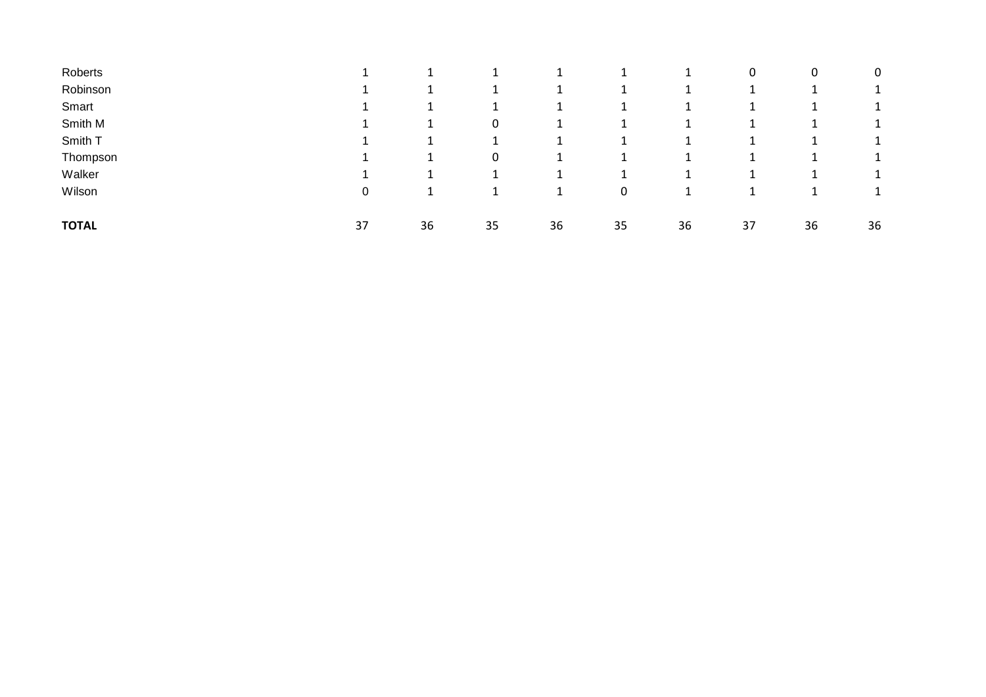| Roberts      |    |    |    |    |    | $\perp$ | 0  | 0  | 0  |
|--------------|----|----|----|----|----|---------|----|----|----|
| Robinson     |    |    |    |    |    |         |    |    |    |
| Smart        |    |    |    |    |    |         |    |    |    |
| Smith M      |    |    | 0  |    |    |         |    |    |    |
| Smith T      |    |    |    |    |    |         |    |    |    |
| Thompson     |    |    | 0  | ÷  |    |         |    |    |    |
| Walker       |    |    |    |    |    |         |    |    |    |
| Wilson       | 0  |    |    |    | 0  |         |    |    | ᅩ  |
| <b>TOTAL</b> | 37 | 36 | 35 | 36 | 35 | 36      | 37 | 36 | 36 |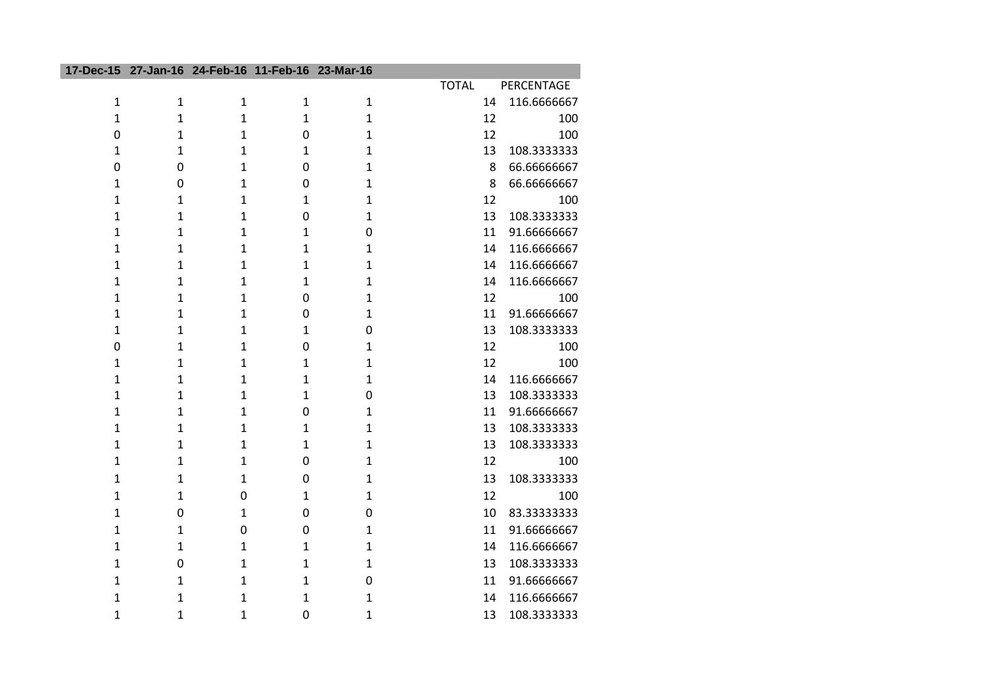|                |              | 17-Dec-15 27-Jan-16 24-Feb-16 11-Feb-16 23-Mar-16 |              |              |              |             |
|----------------|--------------|---------------------------------------------------|--------------|--------------|--------------|-------------|
|                |              |                                                   |              |              | <b>TOTAL</b> | PERCENTAGE  |
| $\mathbf{1}$   | $\mathbf{1}$ | $\mathbf{1}$                                      | $\mathbf{1}$ | $\mathbf{1}$ | 14           | 116.6666667 |
| $\mathbf{1}$   | $\mathbf{1}$ | $\mathbf{1}$                                      | $\mathbf{1}$ | $\mathbf{1}$ | 12           | 100         |
| $\overline{0}$ | $\mathbf{1}$ | $\mathbf{1}$                                      | $\mathbf 0$  | $\mathbf{1}$ | 12           | 100         |
| $\mathbf{1}$   | $\mathbf 1$  | $\mathbf{1}$                                      | $\mathbf{1}$ | $\mathbf{1}$ | 13           | 108.3333333 |
| $\mathbf 0$    | $\pmb{0}$    | $\mathbf{1}$                                      | $\mathbf 0$  | $\mathbf{1}$ | 8            | 66.6666667  |
| $\mathbf{1}$   | $\mathbf 0$  | $\mathbf{1}$                                      | $\mathbf 0$  | $\mathbf{1}$ | 8            | 66.6666667  |
| $\mathbf{1}$   | $\mathbf 1$  | $\mathbf{1}$                                      | $\mathbf{1}$ | $\mathbf{1}$ | 12           | 100         |
| $\mathbf{1}$   | $\mathbf 1$  | 1                                                 | $\mathbf 0$  | $\mathbf 1$  | 13           | 108.3333333 |
| $\mathbf{1}$   | $\mathbf 1$  | $\mathbf{1}$                                      | $\mathbf{1}$ | $\mathbf 0$  | 11           | 91.66666667 |
| $\mathbf{1}$   | $\mathbf 1$  | $\overline{1}$                                    | $\mathbf{1}$ | $\mathbf{1}$ | 14           | 116.6666667 |
| $\mathbf{1}$   | 1            | 1                                                 | $\mathbf 1$  | $\mathbf 1$  | 14           | 116.6666667 |
| $\mathbf{1}$   | 1            | $\mathbf{1}$                                      | $\mathbf{1}$ | $\mathbf{1}$ | 14           | 116.6666667 |
| $\mathbf{1}$   | $\mathbf{1}$ | $\mathbf{1}$                                      | $\mathbf 0$  | $\mathbf{1}$ | 12           | 100         |
| $\mathbf{1}$   | 1            | $\mathbf{1}$                                      | $\mathbf 0$  | $\mathbf{1}$ | 11           | 91.66666667 |
| $\mathbf{1}$   | 1            | $\mathbf{1}$                                      | $\mathbf{1}$ | $\mathbf 0$  | 13           | 108.3333333 |
| $\mathbf 0$    | $\mathbf 1$  | $\overline{1}$                                    | $\mathbf 0$  | $\mathbf{1}$ | 12           | 100         |
| $\mathbf{1}$   | $\mathbf 1$  | $\overline{1}$                                    | $\mathbf{1}$ | $\mathbf{1}$ | 12           | 100         |
| $\mathbf{1}$   | 1            | 1                                                 | 1            | $\mathbf 1$  | 14           | 116.6666667 |
| $\mathbf{1}$   | 1            | 1                                                 | $\mathbf{1}$ | $\mathbf 0$  | 13           | 108.3333333 |
| $\mathbf{1}$   | $\mathbf{1}$ | $\mathbf{1}$                                      | $\mathbf 0$  | $\mathbf{1}$ | 11           | 91.66666667 |
| 1              | $\mathbf 1$  | $\mathbf{1}$                                      | $\mathbf{1}$ | $\mathbf{1}$ | 13           | 108.3333333 |
| $\mathbf{1}$   | 1            | 1                                                 | $\mathbf 1$  | $\mathbf 1$  | 13           | 108.3333333 |
| $\mathbf{1}$   | $\mathbf{1}$ | $\mathbf{1}$                                      | $\mathbf 0$  | $\mathbf{1}$ | 12           | 100         |
| $\mathbf{1}$   | 1            | 1                                                 | $\mathbf 0$  | $\mathbf{1}$ | 13           | 108.3333333 |
| $\mathbf{1}$   | $\mathbf{1}$ | $\mathbf 0$                                       | $\mathbf{1}$ | $\mathbf{1}$ | 12           | 100         |
| $\mathbf{1}$   | $\mathbf 0$  | $\mathbf{1}$                                      | $\mathbf 0$  | $\mathbf 0$  | 10           | 83.33333333 |
| 1              | 1            | 0                                                 | 0            | 1            | 11           | 91.66666667 |
| $\mathbf{1}$   | $\mathbf{1}$ | $\mathbf{1}$                                      | $\mathbf{1}$ | $\mathbf{1}$ | 14           | 116.6666667 |
| 1              | $\pmb{0}$    | 1                                                 | $\mathbf{1}$ | $\mathbf{1}$ | 13           | 108.3333333 |
| $\mathbf{1}$   | 1            | 1                                                 | $\mathbf{1}$ | $\mathbf 0$  | 11           | 91.66666667 |
| $\mathbf{1}$   | 1            | $\mathbf 1$                                       | $\mathbf 1$  | $\mathbf 1$  | 14           | 116.6666667 |
| $\mathbf{1}$   | 1            | 1                                                 | $\mathbf 0$  | 1            | 13           | 108.3333333 |

I